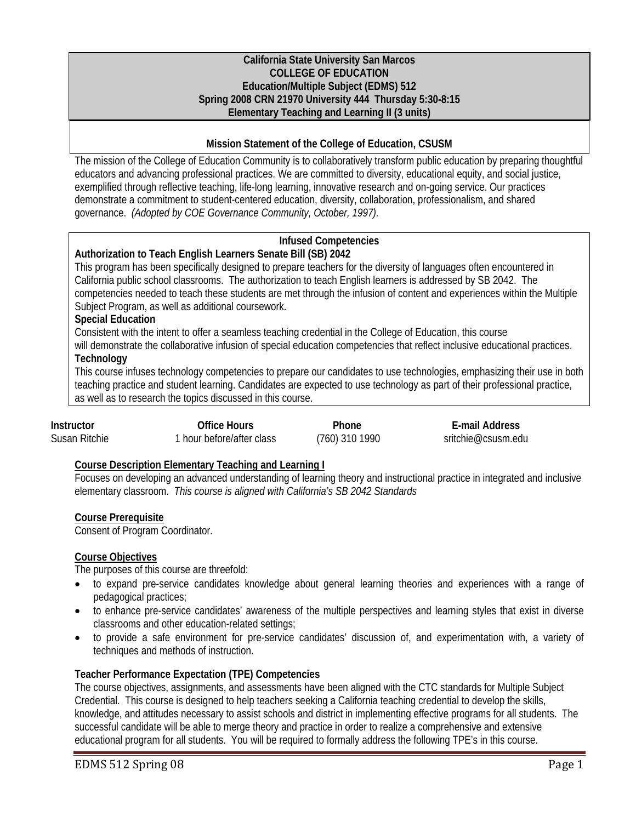#### **California State University San Marcos COLLEGE OF EDUCATION Education/Multiple Subject (EDMS) 512 Spring 2008 CRN 21970 University 444 Thursday 5:30-8:15 Elementary Teaching and Learning II (3 units)**

# **Mission Statement of the College of Education, CSUSM**

The mission of the College of Education Community is to collaboratively transform public education by preparing thoughtful educators and advancing professional practices. We are committed to diversity, educational equity, and social justice, exemplified through reflective teaching, life-long learning, innovative research and on-going service. Our practices demonstrate a commitment to student-centered education, diversity, collaboration, professionalism, and shared governance. *(Adopted by COE Governance Community, October, 1997).* 

# **Infused Competencies**

# **Authorization to Teach English Learners Senate Bill (SB) 2042**

This program has been specifically designed to prepare teachers for the diversity of languages often encountered in California public school classrooms. The authorization to teach English learners is addressed by SB 2042. The competencies needed to teach these students are met through the infusion of content and experiences within the Multiple Subject Program, as well as additional coursework.

# **Special Education**

Consistent with the intent to offer a seamless teaching credential in the College of Education, this course

will demonstrate the collaborative infusion of special education competencies that reflect inclusive educational practices. **Technology** 

This course infuses technology competencies to prepare our candidates to use technologies, emphasizing their use in both teaching practice and student learning. Candidates are expected to use technology as part of their professional practice, as well as to research the topics discussed in this course.

| Instructor    | Office Hours              | Phone          | E-mail Address     |
|---------------|---------------------------|----------------|--------------------|
| Susan Ritchie | 1 hour before/after class | (760) 310 1990 | sritchie@csusm.edu |

# **Course Description Elementary Teaching and Learning I**

Focuses on developing an advanced understanding of learning theory and instructional practice in integrated and inclusive elementary classroom. *This course is aligned with California's SB 2042 Standards* 

# **Course Prerequisite**

Consent of Program Coordinator.

# **Course Objectives**

The purposes of this course are threefold:

- to expand pre-service candidates knowledge about general learning theories and experiences with a range of pedagogical practices;
- to enhance pre-service candidates' awareness of the multiple perspectives and learning styles that exist in diverse classrooms and other education-related settings;
- to provide a safe environment for pre-service candidates' discussion of, and experimentation with, a variety of techniques and methods of instruction.

# **Teacher Performance Expectation (TPE) Competencies**

The course objectives, assignments, and assessments have been aligned with the CTC standards for Multiple Subject Credential. This course is designed to help teachers seeking a California teaching credential to develop the skills, knowledge, and attitudes necessary to assist schools and district in implementing effective programs for all students. The successful candidate will be able to merge theory and practice in order to realize a comprehensive and extensive educational program for all students. You will be required to formally address the following TPE's in this course.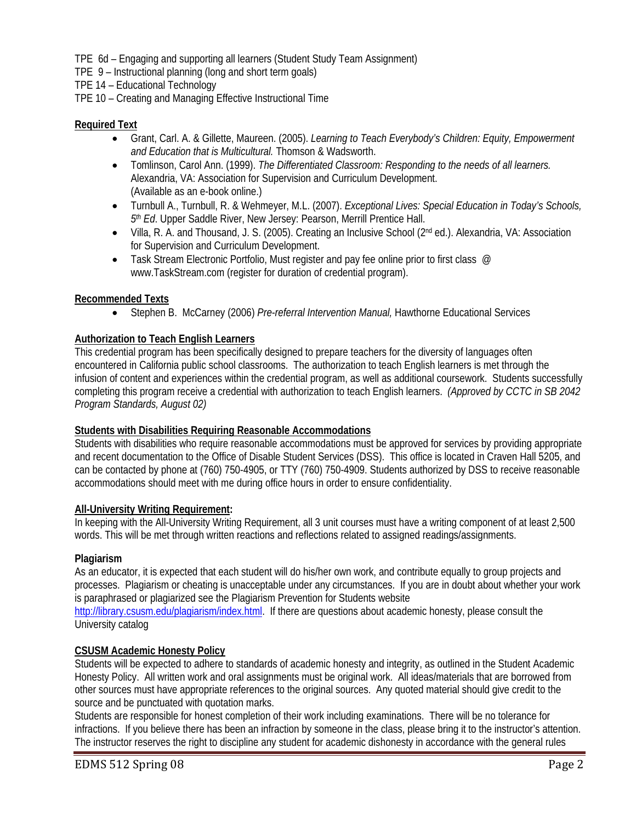TPE 6d – Engaging and supporting all learners (Student Study Team Assignment)

TPE 9 – Instructional planning (long and short term goals)

TPE 14 – Educational Technology

TPE 10 – Creating and Managing Effective Instructional Time

# **Required Text**

- Grant, Carl. A. & Gillette, Maureen. (2005). *Learning to Teach Everybody's Children: Equity, Empowerment and Education that is Multicultural.* Thomson & Wadsworth.
- Tomlinson, Carol Ann. (1999). *The Differentiated Classroom: Responding to the needs of all learners.*  Alexandria, VA: Association for Supervision and Curriculum Development. (Available as an e-book online.)
- Turnbull A., Turnbull, R. & Wehmeyer, M.L. (2007). *Exceptional Lives: Special Education in Today's Schools, 5th Ed*. Upper Saddle River, New Jersey: Pearson, Merrill Prentice Hall.
- Villa, R. A. and Thousand, J. S. (2005). Creating an Inclusive School (2<sup>nd</sup> ed.). Alexandria, VA: Association for Supervision and Curriculum Development.
- Task Stream Electronic Portfolio, Must register and pay fee online prior to first class  $\oslash$ www.TaskStream.com (register for duration of credential program).

# **Recommended Texts**

• Stephen B. McCarney (2006) *Pre-referral Intervention Manual,* Hawthorne Educational Services

# **Authorization to Teach English Learners**

This credential program has been specifically designed to prepare teachers for the diversity of languages often encountered in California public school classrooms. The authorization to teach English learners is met through the infusion of content and experiences within the credential program, as well as additional coursework. Students successfully completing this program receive a credential with authorization to teach English learners. *(Approved by CCTC in SB 2042 Program Standards, August 02)*

# **Students with Disabilities Requiring Reasonable Accommodations**

Students with disabilities who require reasonable accommodations must be approved for services by providing appropriate and recent documentation to the Office of Disable Student Services (DSS). This office is located in Craven Hall 5205, and can be contacted by phone at (760) 750-4905, or TTY (760) 750-4909. Students authorized by DSS to receive reasonable accommodations should meet with me during office hours in order to ensure confidentiality.

# **All-University Writing Requirement:**

In keeping with the All-University Writing Requirement, all 3 unit courses must have a writing component of at least 2,500 words. This will be met through written reactions and reflections related to assigned readings/assignments.

# **Plagiarism**

As an educator, it is expected that each student will do his/her own work, and contribute equally to group projects and processes. Plagiarism or cheating is unacceptable under any circumstances. If you are in doubt about whether your work is paraphrased or plagiarized see the Plagiarism Prevention for Students website

http://library.csusm.edu/plagiarism/index.html. If there are questions about academic honesty, please consult the University catalog

# **CSUSM Academic Honesty Policy**

Students will be expected to adhere to standards of academic honesty and integrity, as outlined in the Student Academic Honesty Policy. All written work and oral assignments must be original work. All ideas/materials that are borrowed from other sources must have appropriate references to the original sources. Any quoted material should give credit to the source and be punctuated with quotation marks.

Students are responsible for honest completion of their work including examinations. There will be no tolerance for infractions. If you believe there has been an infraction by someone in the class, please bring it to the instructor's attention. The instructor reserves the right to discipline any student for academic dishonesty in accordance with the general rules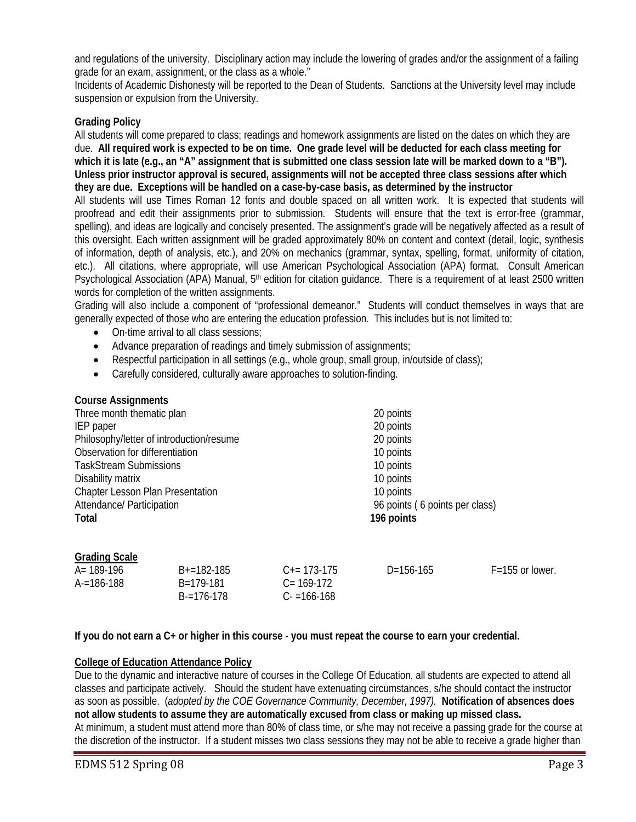and regulations of the university. Disciplinary action may include the lowering of grades and/or the assignment of a failing grade for an exam, assignment, or the class as a whole."

Incidents of Academic Dishonesty will be reported to the Dean of Students. Sanctions at the University level may include suspension or expulsion from the University.

#### **Grading Policy**

All students will come prepared to class; readings and homework assignments are listed on the dates on which they are due. **All required work is expected to be on time. One grade level will be deducted for each class meeting for**  which it is late (e.g., an "A" assignment that is submitted one class session late will be marked down to a "B"). **Unless prior instructor approval is secured, assignments will not be accepted three class sessions after which they are due. Exceptions will be handled on a case-by-case basis, as determined by the instructor** 

All students will use Times Roman 12 fonts and double spaced on all written work. It is expected that students will proofread and edit their assignments prior to submission. Students will ensure that the text is error-free (grammar, spelling), and ideas are logically and concisely presented. The assignment's grade will be negatively affected as a result of this oversight. Each written assignment will be graded approximately 80% on content and context (detail, logic, synthesis of information, depth of analysis, etc.), and 20% on mechanics (grammar, syntax, spelling, format, uniformity of citation, etc.). All citations, where appropriate, will use American Psychological Association (APA) format. Consult American Psychological Association (APA) Manual, 5<sup>th</sup> edition for citation guidance. There is a requirement of at least 2500 written words for completion of the written assignments.

Grading will also include a component of "professional demeanor." Students will conduct themselves in ways that are generally expected of those who are entering the education profession. This includes but is not limited to:

- On-time arrival to all class sessions;
- Advance preparation of readings and timely submission of assignments;
- Respectful participation in all settings (e.g., whole group, small group, in/outside of class);
- Carefully considered, culturally aware approaches to solution-finding.

#### **Course Assignments**

| Three month thematic plan                | 20 points                      |
|------------------------------------------|--------------------------------|
| IEP paper                                | 20 points                      |
| Philosophy/letter of introduction/resume | 20 points                      |
| Observation for differentiation          | 10 points                      |
| <b>TaskStream Submissions</b>            | 10 points                      |
| Disability matrix                        | 10 points                      |
| Chapter Lesson Plan Presentation         | 10 points                      |
| Attendance/ Participation                | 96 points (6 points per class) |
| Total                                    | 196 points                     |
|                                          |                                |
|                                          |                                |

#### **Grading Scale**

| A= 189-196 | $B+=182-185$    | $C_{\pm} = 173 - 175$ | $D=156-165$ | $F = 155$ or lower. |
|------------|-----------------|-----------------------|-------------|---------------------|
| A-=186-188 | B=179-181       | $C = 169-172$         |             |                     |
|            | $B = 176 - 178$ | $C = 166 - 168$       |             |                     |

#### **If you do not earn a C+ or higher in this course - you must repeat the course to earn your credential.**

#### **College of Education Attendance Policy**

Due to the dynamic and interactive nature of courses in the College Of Education, all students are expected to attend all classes and participate actively. Should the student have extenuating circumstances, s/he should contact the instructor as soon as possible. (*adopted by the COE Governance Community, December, 1997).* **Notification of absences does not allow students to assume they are automatically excused from class or making up missed class.**  At minimum, a student must attend more than 80% of class time, or s/he may not receive a passing grade for the course at the discretion of the instructor. If a student misses two class sessions they may not be able to receive a grade higher than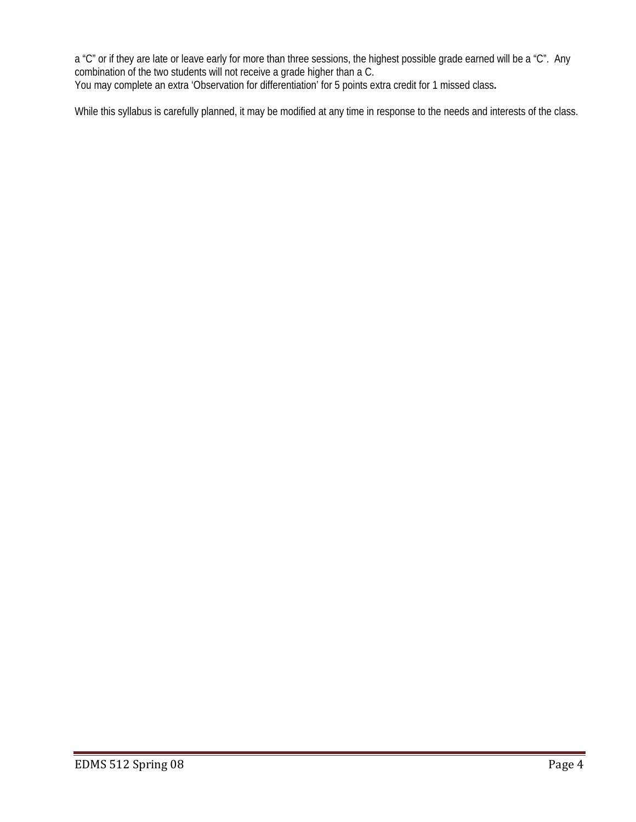a "C" or if they are late or leave early for more than three sessions, the highest possible grade earned will be a "C". Any combination of the two students will not receive a grade higher than a C. You may complete an extra 'Observation for differentiation' for 5 points extra credit for 1 missed class**.**

While this syllabus is carefully planned, it may be modified at any time in response to the needs and interests of the class.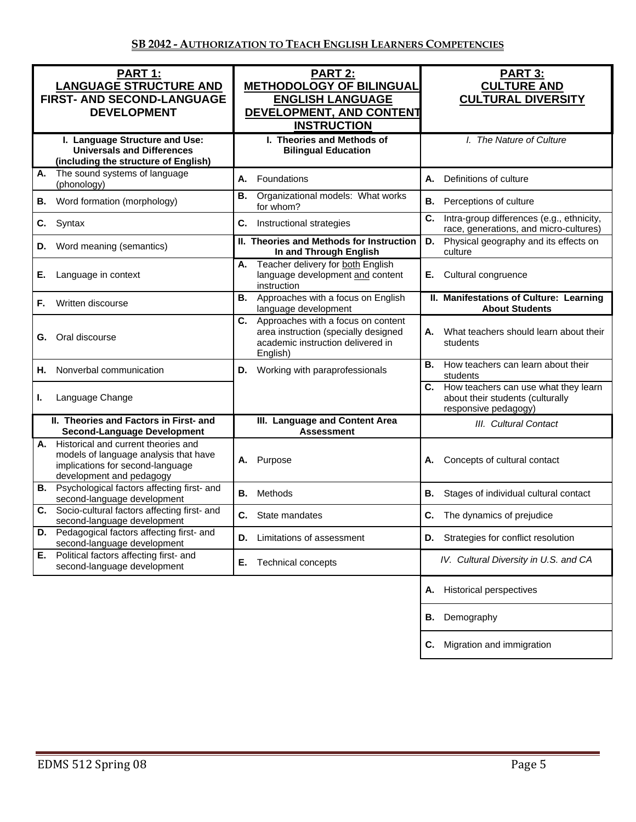| PART 1:<br><b>LANGUAGE STRUCTURE AND</b><br>FIRST- AND SECOND-LANGUAGE<br><b>DEVELOPMENT</b><br>I. Language Structure and Use:                  | <b>PART 2:</b><br><b>METHODOLOGY OF BILINGUAL</b><br><b>ENGLISH LANGUAGE</b><br>DEVELOPMENT, AND CONTENT<br><b>INSTRUCTION</b><br>I. Theories and Methods of | <b>PART 3:</b><br><b>CULTURE AND</b><br><b>CULTURAL DIVERSITY</b><br>I. The Nature of Culture       |
|-------------------------------------------------------------------------------------------------------------------------------------------------|--------------------------------------------------------------------------------------------------------------------------------------------------------------|-----------------------------------------------------------------------------------------------------|
| <b>Universals and Differences</b><br>(including the structure of English)                                                                       | <b>Bilingual Education</b>                                                                                                                                   |                                                                                                     |
| The sound systems of language<br>А.<br>(phonology)                                                                                              | Foundations<br>А.                                                                                                                                            | А.<br>Definitions of culture                                                                        |
| Word formation (morphology)<br>В.                                                                                                               | Organizational models: What works<br>В.<br>for whom?                                                                                                         | <b>B.</b><br>Perceptions of culture                                                                 |
| Syntax<br>C.                                                                                                                                    | C.<br>Instructional strategies                                                                                                                               | C.<br>Intra-group differences (e.g., ethnicity,<br>race, generations, and micro-cultures)           |
| Word meaning (semantics)<br>D.                                                                                                                  | II. Theories and Methods for Instruction<br>In and Through English                                                                                           | Physical geography and its effects on<br>D.<br>culture                                              |
| Е.<br>Language in context                                                                                                                       | Teacher delivery for both English<br>А.<br>language development and content<br>instruction                                                                   | E. Cultural congruence                                                                              |
| F.<br>Written discourse                                                                                                                         | Approaches with a focus on English<br>В.<br>language development                                                                                             | II. Manifestations of Culture: Learning<br><b>About Students</b>                                    |
| Oral discourse<br>G.                                                                                                                            | C.<br>Approaches with a focus on content<br>area instruction (specially designed<br>academic instruction delivered in<br>English)                            | What teachers should learn about their<br>А.<br>students                                            |
| Nonverbal communication<br>Н.                                                                                                                   | Working with paraprofessionals<br>D.                                                                                                                         | How teachers can learn about their<br>В.<br>students                                                |
| Language Change<br>ı.                                                                                                                           |                                                                                                                                                              | C. How teachers can use what they learn<br>about their students (culturally<br>responsive pedagogy) |
| II. Theories and Factors in First- and<br><b>Second-Language Development</b>                                                                    | III. Language and Content Area<br><b>Assessment</b>                                                                                                          | III. Cultural Contact                                                                               |
| A. Historical and current theories and<br>models of language analysis that have<br>implications for second-language<br>development and pedagogy | Purpose<br>А.                                                                                                                                                | Concepts of cultural contact<br>А.                                                                  |
| <b>B.</b> Psychological factors affecting first- and<br>second-language development                                                             | В.<br>Methods                                                                                                                                                | В.<br>Stages of individual cultural contact                                                         |
| Socio-cultural factors affecting first- and<br>C.<br>second-language development                                                                | C. State mandates                                                                                                                                            | C. The dynamics of prejudice                                                                        |
| Pedagogical factors affecting first- and<br>D.<br>second-language development                                                                   | Limitations of assessment<br>D.                                                                                                                              | Strategies for conflict resolution<br>D.                                                            |
| Political factors affecting first- and<br>Е.<br>second-language development                                                                     | Е.<br>Technical concepts                                                                                                                                     | IV. Cultural Diversity in U.S. and CA                                                               |
|                                                                                                                                                 |                                                                                                                                                              | <b>Historical perspectives</b><br>Α.                                                                |
|                                                                                                                                                 |                                                                                                                                                              | Demography<br>В.                                                                                    |
|                                                                                                                                                 |                                                                                                                                                              | Migration and immigration<br>C.                                                                     |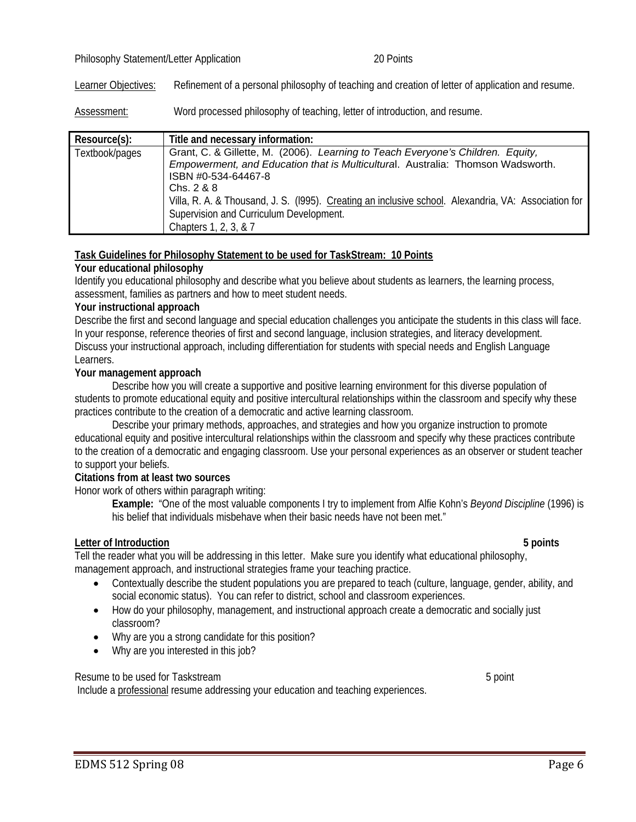# Philosophy Statement/Letter Application 20 Points

Learner Objectives: Refinement of a personal philosophy of teaching and creation of letter of application and resume.

Assessment: Word processed philosophy of teaching, letter of introduction, and resume.

| Resource(s):   | Title and necessary information:                                                                                                                                                                                                                                                                                                                                                    |
|----------------|-------------------------------------------------------------------------------------------------------------------------------------------------------------------------------------------------------------------------------------------------------------------------------------------------------------------------------------------------------------------------------------|
| Textbook/pages | Grant, C. & Gillette, M. (2006). Learning to Teach Everyone's Children. Equity,<br>Empowerment, and Education that is Multicultural. Australia: Thomson Wadsworth.<br>ISBN #0-534-64467-8<br>Chs. 2 & 8<br>Villa, R. A. & Thousand, J. S. (1995). Creating an inclusive school. Alexandria, VA: Association for<br>Supervision and Curriculum Development.<br>Chapters 1, 2, 3, & 7 |

#### **Task Guidelines for Philosophy Statement to be used for TaskStream: 10 Points**

#### **Your educational philosophy**

Identify you educational philosophy and describe what you believe about students as learners, the learning process, assessment, families as partners and how to meet student needs.

#### **Your instructional approach**

Describe the first and second language and special education challenges you anticipate the students in this class will face. In your response, reference theories of first and second language, inclusion strategies, and literacy development. Discuss your instructional approach, including differentiation for students with special needs and English Language Learners.

#### **Your management approach**

Describe how you will create a supportive and positive learning environment for this diverse population of students to promote educational equity and positive intercultural relationships within the classroom and specify why these practices contribute to the creation of a democratic and active learning classroom.

Describe your primary methods, approaches, and strategies and how you organize instruction to promote educational equity and positive intercultural relationships within the classroom and specify why these practices contribute to the creation of a democratic and engaging classroom. Use your personal experiences as an observer or student teacher to support your beliefs.

#### **Citations from at least two sources**

Honor work of others within paragraph writing:

**Example:** "One of the most valuable components I try to implement from Alfie Kohn's *Beyond Discipline* (1996) is his belief that individuals misbehave when their basic needs have not been met."

# **Letter of Introduction 5 points**

Tell the reader what you will be addressing in this letter. Make sure you identify what educational philosophy, management approach, and instructional strategies frame your teaching practice.

- Contextually describe the student populations you are prepared to teach (culture, language, gender, ability, and social economic status). You can refer to district, school and classroom experiences.
- How do your philosophy, management, and instructional approach create a democratic and socially just classroom?
- Why are you a strong candidate for this position?
- Why are you interested in this job?

#### Resume to be used for Taskstream 5 point 1 and 2 and 2 and 3 point 1 and 3 point 1 and 3 point 1 and 3 point 1 and 3 point 1 and 3 point 1 and 3 point 1 and 3 point 1 and 3 point 1 and 3 point 1 and 3 and 3 and 3 and 3 and

Include a professional resume addressing your education and teaching experiences.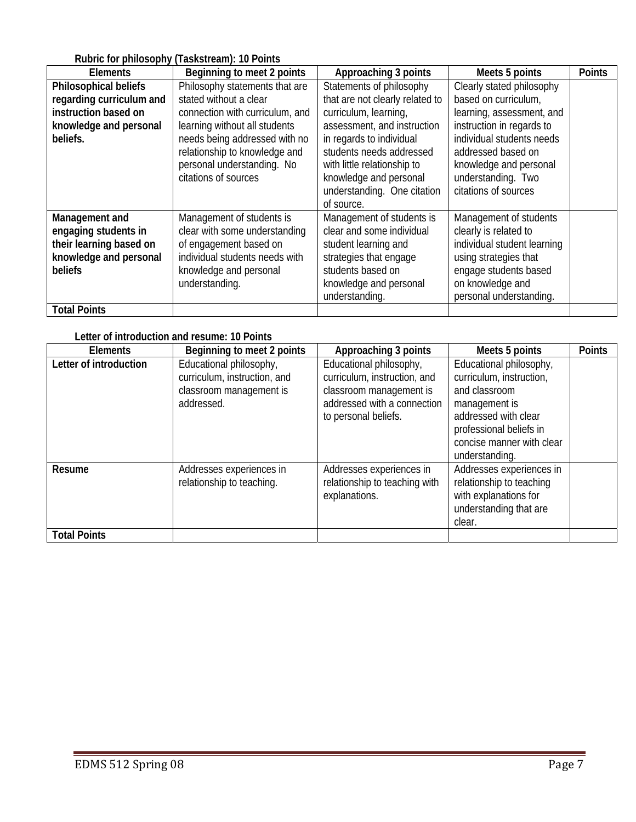# **Rubric for philosophy (Taskstream): 10 Points**

|                          | <b>The Prime of Prime of Alberta Computer</b> |                                 |                             |               |
|--------------------------|-----------------------------------------------|---------------------------------|-----------------------------|---------------|
| <b>Elements</b>          | Beginning to meet 2 points                    | Approaching 3 points            | Meets 5 points              | <b>Points</b> |
| Philosophical beliefs    | Philosophy statements that are                | Statements of philosophy        | Clearly stated philosophy   |               |
| regarding curriculum and | stated without a clear                        | that are not clearly related to | based on curriculum,        |               |
| instruction based on     | connection with curriculum, and               | curriculum, learning,           | learning, assessment, and   |               |
| knowledge and personal   | learning without all students                 | assessment, and instruction     | instruction in regards to   |               |
| beliefs.                 | needs being addressed with no                 | in regards to individual        | individual students needs   |               |
|                          | relationship to knowledge and                 | students needs addressed        | addressed based on          |               |
|                          | personal understanding. No                    | with little relationship to     | knowledge and personal      |               |
|                          | citations of sources                          | knowledge and personal          | understanding. Two          |               |
|                          |                                               | understanding. One citation     | citations of sources        |               |
|                          |                                               | of source.                      |                             |               |
| Management and           | Management of students is                     | Management of students is       | Management of students      |               |
| engaging students in     | clear with some understanding                 | clear and some individual       | clearly is related to       |               |
| their learning based on  | of engagement based on                        | student learning and            | individual student learning |               |
| knowledge and personal   | individual students needs with                | strategies that engage          | using strategies that       |               |
| beliefs                  | knowledge and personal                        | students based on               | engage students based       |               |
|                          | understanding.                                | knowledge and personal          | on knowledge and            |               |
|                          |                                               | understanding.                  | personal understanding.     |               |
| <b>Total Points</b>      |                                               |                                 |                             |               |

# **Letter of introduction and resume: 10 Points**

| Elements               | Beginning to meet 2 points                                                                       | Approaching 3 points                                                                                                                      | Meets 5 points                                                                                                                                                                          | <b>Points</b> |
|------------------------|--------------------------------------------------------------------------------------------------|-------------------------------------------------------------------------------------------------------------------------------------------|-----------------------------------------------------------------------------------------------------------------------------------------------------------------------------------------|---------------|
| Letter of introduction | Educational philosophy,<br>curriculum, instruction, and<br>classroom management is<br>addressed. | Educational philosophy,<br>curriculum, instruction, and<br>classroom management is<br>addressed with a connection<br>to personal beliefs. | Educational philosophy,<br>curriculum, instruction,<br>and classroom<br>management is<br>addressed with clear<br>professional beliefs in<br>concise manner with clear<br>understanding. |               |
| Resume                 | Addresses experiences in<br>relationship to teaching.                                            | Addresses experiences in<br>relationship to teaching with<br>explanations.                                                                | Addresses experiences in<br>relationship to teaching<br>with explanations for<br>understanding that are<br>clear.                                                                       |               |
| <b>Total Points</b>    |                                                                                                  |                                                                                                                                           |                                                                                                                                                                                         |               |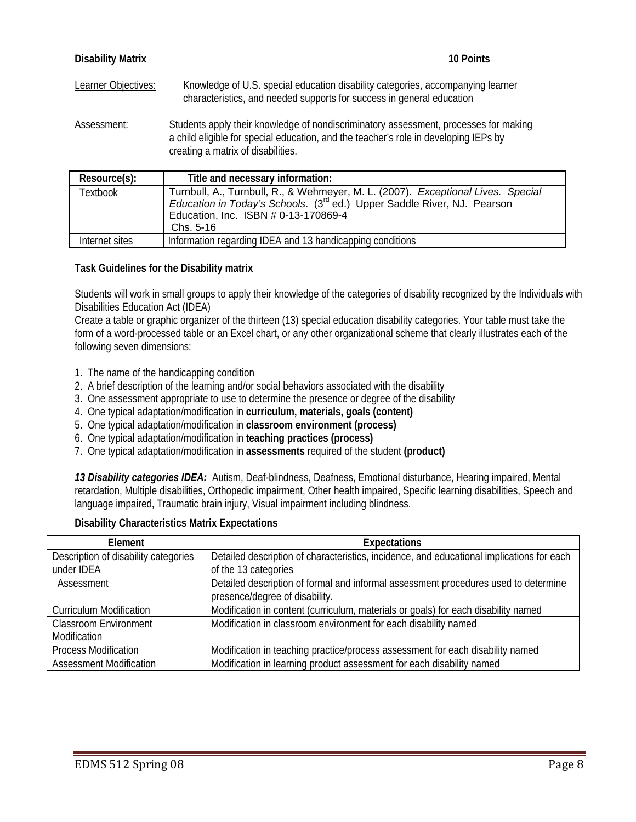| <b>Disability Matrix</b> | 10 Points                                                                                                                                                                                                          |
|--------------------------|--------------------------------------------------------------------------------------------------------------------------------------------------------------------------------------------------------------------|
| Learner Objectives:      | Knowledge of U.S. special education disability categories, accompanying learner<br>characteristics, and needed supports for success in general education                                                           |
| Assessment:              | Students apply their knowledge of nondiscriminatory assessment, processes for making<br>a child eligible for special education, and the teacher's role in developing IEPs by<br>creating a matrix of disabilities. |

| Resource(s):   | Title and necessary information:                                                                                                                                                                                             |
|----------------|------------------------------------------------------------------------------------------------------------------------------------------------------------------------------------------------------------------------------|
| Textbook       | Turnbull, A., Turnbull, R., & Wehmeyer, M. L. (2007). Exceptional Lives. Special<br>Education in Today's Schools. (3 <sup>rd</sup> ed.) Upper Saddle River, NJ. Pearson<br>Education, Inc. ISBN # 0-13-170869-4<br>Chs. 5-16 |
| Internet sites | Information regarding IDEA and 13 handicapping conditions                                                                                                                                                                    |

# **Task Guidelines for the Disability matrix**

Students will work in small groups to apply their knowledge of the categories of disability recognized by the Individuals with Disabilities Education Act (IDEA)

Create a table or graphic organizer of the thirteen (13) special education disability categories. Your table must take the form of a word-processed table or an Excel chart, or any other organizational scheme that clearly illustrates each of the following seven dimensions:

- 1. The name of the handicapping condition
- 2. A brief description of the learning and/or social behaviors associated with the disability
- 3. One assessment appropriate to use to determine the presence or degree of the disability
- 4. One typical adaptation/modification in **curriculum, materials, goals (content)**
- 5. One typical adaptation/modification in **classroom environment (process)**
- 6. One typical adaptation/modification in **teaching practices (process)**
- 7. One typical adaptation/modification in **assessments** required of the student **(product)**

*13 Disability categories IDEA:* Autism, Deaf-blindness, Deafness, Emotional disturbance, Hearing impaired, Mental retardation, Multiple disabilities, Orthopedic impairment, Other health impaired, Specific learning disabilities, Speech and language impaired, Traumatic brain injury, Visual impairment including blindness.

# **Disability Characteristics Matrix Expectations**

| Element                              | <b>Expectations</b>                                                                       |
|--------------------------------------|-------------------------------------------------------------------------------------------|
| Description of disability categories | Detailed description of characteristics, incidence, and educational implications for each |
| under IDEA                           | of the 13 categories                                                                      |
| Assessment                           | Detailed description of formal and informal assessment procedures used to determine       |
|                                      | presence/degree of disability.                                                            |
| <b>Curriculum Modification</b>       | Modification in content (curriculum, materials or goals) for each disability named        |
| <b>Classroom Environment</b>         | Modification in classroom environment for each disability named                           |
| Modification                         |                                                                                           |
| <b>Process Modification</b>          | Modification in teaching practice/process assessment for each disability named            |
| <b>Assessment Modification</b>       | Modification in learning product assessment for each disability named                     |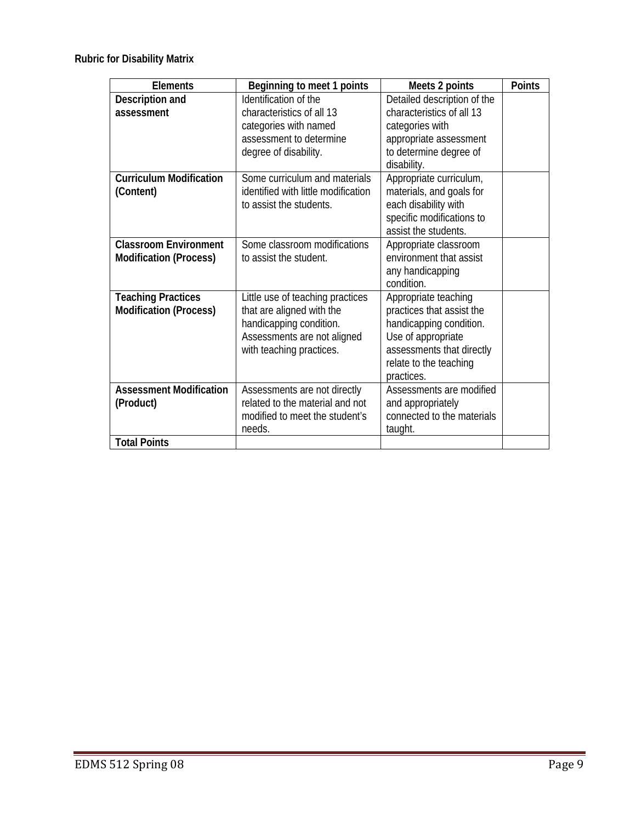**Rubric for Disability Matrix** 

| <b>Elements</b>                | Beginning to meet 1 points          | Meets 2 points              | <b>Points</b> |
|--------------------------------|-------------------------------------|-----------------------------|---------------|
| Description and                | Identification of the               | Detailed description of the |               |
| assessment                     | characteristics of all 13           | characteristics of all 13   |               |
|                                | categories with named               | categories with             |               |
|                                | assessment to determine             | appropriate assessment      |               |
|                                | degree of disability.               | to determine degree of      |               |
|                                |                                     | disability.                 |               |
| <b>Curriculum Modification</b> | Some curriculum and materials       | Appropriate curriculum,     |               |
| (Content)                      | identified with little modification | materials, and goals for    |               |
|                                | to assist the students.             | each disability with        |               |
|                                |                                     | specific modifications to   |               |
|                                |                                     | assist the students.        |               |
| <b>Classroom Environment</b>   | Some classroom modifications        | Appropriate classroom       |               |
| <b>Modification (Process)</b>  | to assist the student.              | environment that assist     |               |
|                                |                                     | any handicapping            |               |
|                                |                                     | condition.                  |               |
| <b>Teaching Practices</b>      | Little use of teaching practices    | Appropriate teaching        |               |
| <b>Modification (Process)</b>  | that are aligned with the           | practices that assist the   |               |
|                                | handicapping condition.             | handicapping condition.     |               |
|                                | Assessments are not aligned         | Use of appropriate          |               |
|                                | with teaching practices.            | assessments that directly   |               |
|                                |                                     | relate to the teaching      |               |
|                                |                                     | practices.                  |               |
| <b>Assessment Modification</b> | Assessments are not directly        | Assessments are modified    |               |
| (Product)                      | related to the material and not     | and appropriately           |               |
|                                | modified to meet the student's      | connected to the materials  |               |
|                                | needs.                              | taught.                     |               |
| <b>Total Points</b>            |                                     |                             |               |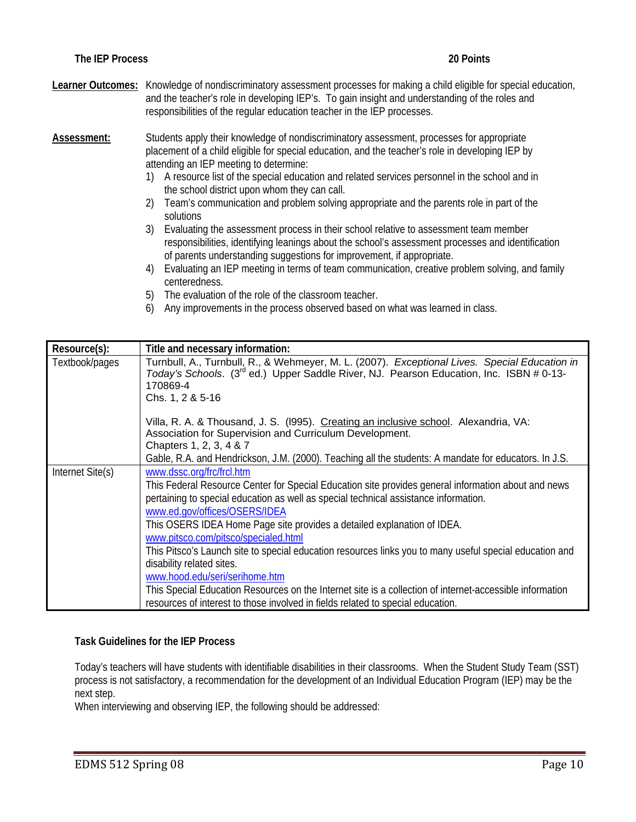**Learner Outcomes:** Knowledge of nondiscriminatory assessment processes for making a child eligible for special education, and the teacher's role in developing IEP's. To gain insight and understanding of the roles and responsibilities of the regular education teacher in the IEP processes.

**Assessment:** Students apply their knowledge of nondiscriminatory assessment, processes for appropriate placement of a child eligible for special education, and the teacher's role in developing IEP by attending an IEP meeting to determine:

- 1) A resource list of the special education and related services personnel in the school and in the school district upon whom they can call.
- 2) Team's communication and problem solving appropriate and the parents role in part of the solutions
- 3) Evaluating the assessment process in their school relative to assessment team member responsibilities, identifying leanings about the school's assessment processes and identification of parents understanding suggestions for improvement, if appropriate.
- 4) Evaluating an IEP meeting in terms of team communication, creative problem solving, and family centeredness.
- 5) The evaluation of the role of the classroom teacher.
- 6) Any improvements in the process observed based on what was learned in class.

| Resource(s):     | Title and necessary information:                                                                                                                                                                                                                                                                                                                                                                                                                                                                                                                                                                                                                                   |
|------------------|--------------------------------------------------------------------------------------------------------------------------------------------------------------------------------------------------------------------------------------------------------------------------------------------------------------------------------------------------------------------------------------------------------------------------------------------------------------------------------------------------------------------------------------------------------------------------------------------------------------------------------------------------------------------|
| Textbook/pages   | Turnbull, A., Turnbull, R., & Wehmeyer, M. L. (2007). Exceptional Lives. Special Education in<br>Today's Schools. (3 <sup>rd</sup> ed.) Upper Saddle River, NJ. Pearson Education, Inc. ISBN # 0-13-<br>170869-4<br>Chs. 1, 2 & 5-16                                                                                                                                                                                                                                                                                                                                                                                                                               |
|                  | Villa, R. A. & Thousand, J. S. (1995). Creating an inclusive school. Alexandria, VA:<br>Association for Supervision and Curriculum Development.<br>Chapters 1, 2, 3, 4 & 7                                                                                                                                                                                                                                                                                                                                                                                                                                                                                         |
|                  | Gable, R.A. and Hendrickson, J.M. (2000). Teaching all the students: A mandate for educators. In J.S.                                                                                                                                                                                                                                                                                                                                                                                                                                                                                                                                                              |
| Internet Site(s) | www.dssc.org/frc/frcl.htm<br>This Federal Resource Center for Special Education site provides general information about and news<br>pertaining to special education as well as special technical assistance information.<br>www.ed.gov/offices/OSERS/IDEA<br>This OSERS IDEA Home Page site provides a detailed explanation of IDEA.<br>www.pitsco.com/pitsco/specialed.html<br>This Pitsco's Launch site to special education resources links you to many useful special education and<br>disability related sites.<br>www.hood.edu/seri/serihome.htm<br>This Special Education Resources on the Internet site is a collection of internet-accessible information |
|                  | resources of interest to those involved in fields related to special education.                                                                                                                                                                                                                                                                                                                                                                                                                                                                                                                                                                                    |

# **Task Guidelines for the IEP Process**

Today's teachers will have students with identifiable disabilities in their classrooms. When the Student Study Team (SST) process is not satisfactory, a recommendation for the development of an Individual Education Program (IEP) may be the next step.

When interviewing and observing IEP, the following should be addressed: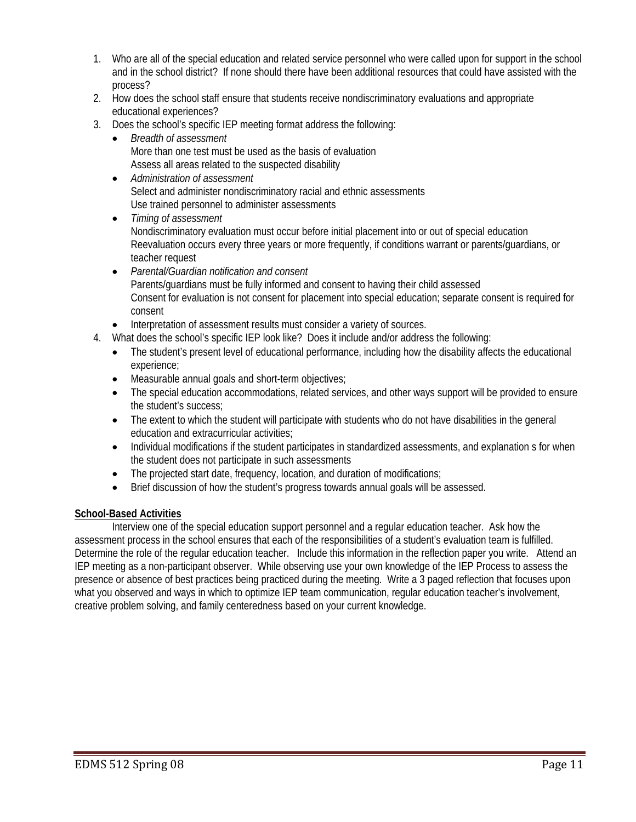- 1. Who are all of the special education and related service personnel who were called upon for support in the school and in the school district? If none should there have been additional resources that could have assisted with the process?
- 2. How does the school staff ensure that students receive nondiscriminatory evaluations and appropriate educational experiences?
- 3. Does the school's specific IEP meeting format address the following:
	- *Breadth of assessment*  More than one test must be used as the basis of evaluation Assess all areas related to the suspected disability
	- *Administration of assessment*  Select and administer nondiscriminatory racial and ethnic assessments Use trained personnel to administer assessments
	- *Timing of assessment*  Nondiscriminatory evaluation must occur before initial placement into or out of special education Reevaluation occurs every three years or more frequently, if conditions warrant or parents/guardians, or teacher request
	- *Parental/Guardian notification and consent*  Parents/guardians must be fully informed and consent to having their child assessed Consent for evaluation is not consent for placement into special education; separate consent is required for consent
	- Interpretation of assessment results must consider a variety of sources.
- 4. What does the school's specific IEP look like? Does it include and/or address the following:
	- The student's present level of educational performance, including how the disability affects the educational experience;
	- Measurable annual goals and short-term objectives;
	- The special education accommodations, related services, and other ways support will be provided to ensure the student's success;
	- The extent to which the student will participate with students who do not have disabilities in the general education and extracurricular activities;
	- Individual modifications if the student participates in standardized assessments, and explanation s for when the student does not participate in such assessments
	- The projected start date, frequency, location, and duration of modifications;
	- Brief discussion of how the student's progress towards annual goals will be assessed.

# **School-Based Activities**

Interview one of the special education support personnel and a regular education teacher. Ask how the assessment process in the school ensures that each of the responsibilities of a student's evaluation team is fulfilled. Determine the role of the regular education teacher. Include this information in the reflection paper you write. Attend an IEP meeting as a non-participant observer. While observing use your own knowledge of the IEP Process to assess the presence or absence of best practices being practiced during the meeting. Write a 3 paged reflection that focuses upon what you observed and ways in which to optimize IEP team communication, regular education teacher's involvement, creative problem solving, and family centeredness based on your current knowledge.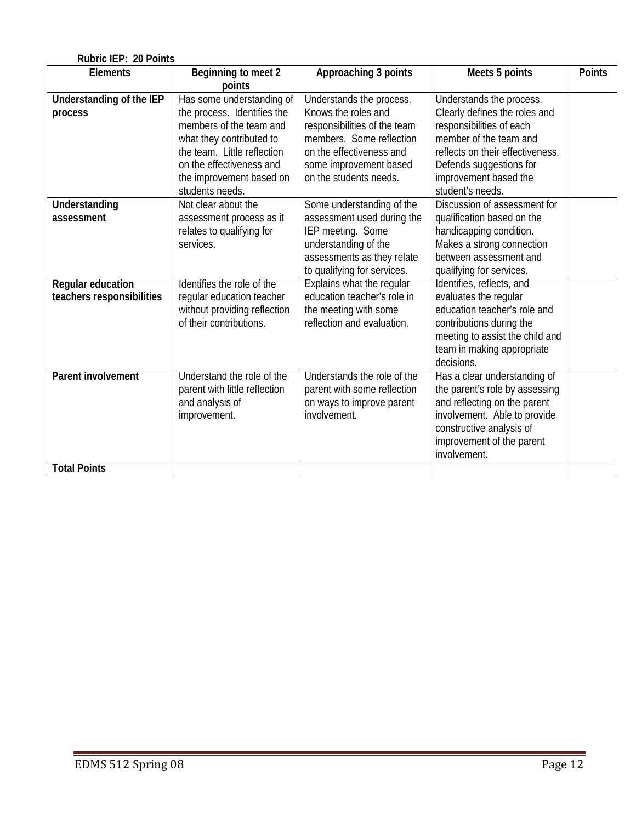| Rubric IEP: 20 Points                          |                                                                                                                                                |                                                                                                                                                                   |                                                                                                                                                                                                         |               |  |
|------------------------------------------------|------------------------------------------------------------------------------------------------------------------------------------------------|-------------------------------------------------------------------------------------------------------------------------------------------------------------------|---------------------------------------------------------------------------------------------------------------------------------------------------------------------------------------------------------|---------------|--|
| <b>Elements</b>                                | Beginning to meet 2<br>points                                                                                                                  | Approaching 3 points                                                                                                                                              | Meets 5 points                                                                                                                                                                                          | <b>Points</b> |  |
| Understanding of the IEP<br>process            | Has some understanding of<br>the process. Identifies the<br>members of the team and<br>what they contributed to<br>the team. Little reflection | Understands the process.<br>Knows the roles and<br>responsibilities of the team<br>members. Some reflection<br>on the effectiveness and                           | Understands the process.<br>Clearly defines the roles and<br>responsibilities of each<br>member of the team and<br>reflects on their effectiveness.                                                     |               |  |
|                                                | on the effectiveness and<br>the improvement based on<br>students needs.                                                                        | some improvement based<br>on the students needs.                                                                                                                  | Defends suggestions for<br>improvement based the<br>student's needs.                                                                                                                                    |               |  |
| Understanding<br>assessment                    | Not clear about the<br>assessment process as it<br>relates to qualifying for<br>services.                                                      | Some understanding of the<br>assessment used during the<br>IEP meeting. Some<br>understanding of the<br>assessments as they relate<br>to qualifying for services. | Discussion of assessment for<br>qualification based on the<br>handicapping condition.<br>Makes a strong connection<br>between assessment and<br>qualifying for services.                                |               |  |
| Regular education<br>teachers responsibilities | Identifies the role of the<br>regular education teacher<br>without providing reflection<br>of their contributions.                             | Explains what the regular<br>education teacher's role in<br>the meeting with some<br>reflection and evaluation.                                                   | Identifies, reflects, and<br>evaluates the regular<br>education teacher's role and<br>contributions during the<br>meeting to assist the child and<br>team in making appropriate<br>decisions.           |               |  |
| <b>Parent involvement</b>                      | Understand the role of the<br>parent with little reflection<br>and analysis of<br>improvement.                                                 | Understands the role of the<br>parent with some reflection<br>on ways to improve parent<br>involvement.                                                           | Has a clear understanding of<br>the parent's role by assessing<br>and reflecting on the parent<br>involvement. Able to provide<br>constructive analysis of<br>improvement of the parent<br>involvement. |               |  |
| <b>Total Points</b>                            |                                                                                                                                                |                                                                                                                                                                   |                                                                                                                                                                                                         |               |  |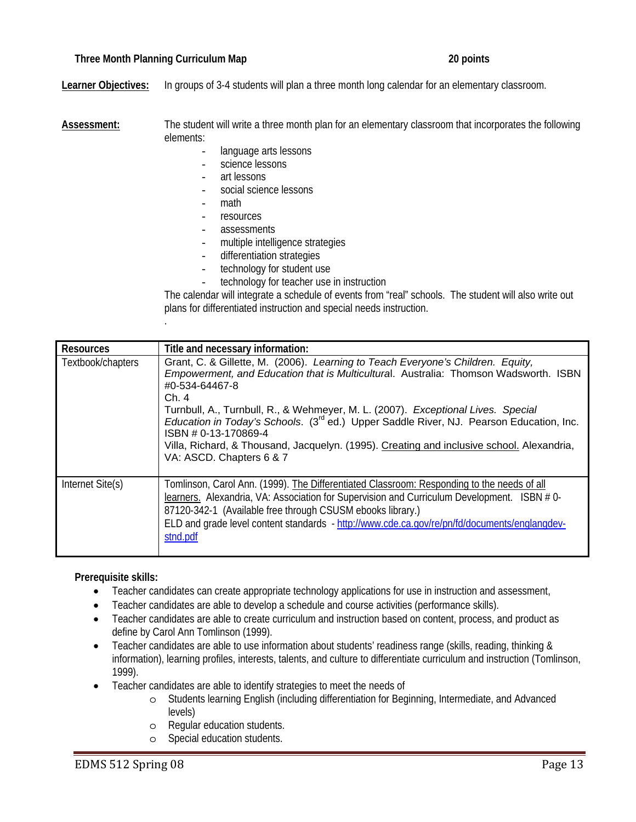# **Three Month Planning Curriculum Map 20 points**

.

**Learner Objectives:** In groups of 3-4 students will plan a three month long calendar for an elementary classroom.

**Assessment:** The student will write a three month plan for an elementary classroom that incorporates the following elements:

- language arts lessons
- science lessons
- art lessons
- social science lessons
- math
- resources
- assessments
- multiple intelligence strategies
- differentiation strategies
- technology for student use
- technology for teacher use in instruction

The calendar will integrate a schedule of events from "real" schools. The student will also write out plans for differentiated instruction and special needs instruction.

| <b>Resources</b>  | Title and necessary information:                                                                                                                                                                                                                                                                                                                                                                                                                                                                                                              |
|-------------------|-----------------------------------------------------------------------------------------------------------------------------------------------------------------------------------------------------------------------------------------------------------------------------------------------------------------------------------------------------------------------------------------------------------------------------------------------------------------------------------------------------------------------------------------------|
| Textbook/chapters | Grant, C. & Gillette, M. (2006). Learning to Teach Everyone's Children. Equity,<br>Empowerment, and Education that is Multicultural. Australia: Thomson Wadsworth. ISBN<br>#0-534-64467-8<br>Ch.4<br>Turnbull, A., Turnbull, R., & Wehmeyer, M. L. (2007). Exceptional Lives. Special<br>Education in Today's Schools. (3 <sup>rd</sup> ed.) Upper Saddle River, NJ. Pearson Education, Inc.<br>ISBN # 0-13-170869-4<br>Villa, Richard, & Thousand, Jacquelyn. (1995). Creating and inclusive school. Alexandria,<br>VA: ASCD. Chapters 6 & 7 |
| Internet Site(s)  | Tomlinson, Carol Ann. (1999). The Differentiated Classroom: Responding to the needs of all<br>learners. Alexandria, VA: Association for Supervision and Curriculum Development. ISBN #0-<br>87120-342-1 (Available free through CSUSM ebooks library.)<br>ELD and grade level content standards - http://www.cde.ca.gov/re/pn/fd/documents/englangdev-<br>stnd.pdf                                                                                                                                                                            |

**Prerequisite skills:** 

- Teacher candidates can create appropriate technology applications for use in instruction and assessment,
- Teacher candidates are able to develop a schedule and course activities (performance skills).
- Teacher candidates are able to create curriculum and instruction based on content, process, and product as define by Carol Ann Tomlinson (1999).
- Teacher candidates are able to use information about students' readiness range (skills, reading, thinking & information), learning profiles, interests, talents, and culture to differentiate curriculum and instruction (Tomlinson, 1999).
- Teacher candidates are able to identify strategies to meet the needs of
	- o Students learning English (including differentiation for Beginning, Intermediate, and Advanced levels)
	- o Regular education students.
	- o Special education students.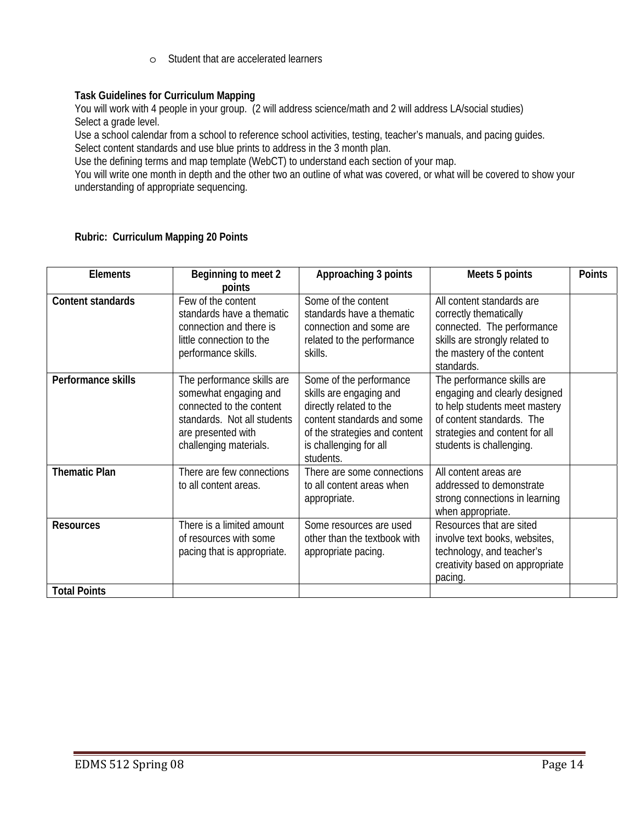o Student that are accelerated learners

# **Task Guidelines for Curriculum Mapping**

You will work with 4 people in your group. (2 will address science/math and 2 will address LA/social studies) Select a grade level.

Use a school calendar from a school to reference school activities, testing, teacher's manuals, and pacing guides. Select content standards and use blue prints to address in the 3 month plan.

Use the defining terms and map template (WebCT) to understand each section of your map.

You will write one month in depth and the other two an outline of what was covered, or what will be covered to show your understanding of appropriate sequencing.

| <b>Elements</b>      | Beginning to meet 2                                                                                                                                            | Approaching 3 points                                                                                                                                                                | Meets 5 points                                                                                                                                                                          | <b>Points</b> |
|----------------------|----------------------------------------------------------------------------------------------------------------------------------------------------------------|-------------------------------------------------------------------------------------------------------------------------------------------------------------------------------------|-----------------------------------------------------------------------------------------------------------------------------------------------------------------------------------------|---------------|
|                      | points                                                                                                                                                         |                                                                                                                                                                                     |                                                                                                                                                                                         |               |
| Content standards    | Few of the content<br>standards have a thematic<br>connection and there is<br>little connection to the<br>performance skills.                                  | Some of the content<br>standards have a thematic<br>connection and some are<br>related to the performance<br>skills.                                                                | All content standards are<br>correctly thematically<br>connected. The performance<br>skills are strongly related to<br>the mastery of the content<br>standards.                         |               |
| Performance skills   | The performance skills are<br>somewhat engaging and<br>connected to the content<br>standards. Not all students<br>are presented with<br>challenging materials. | Some of the performance<br>skills are engaging and<br>directly related to the<br>content standards and some<br>of the strategies and content<br>is challenging for all<br>students. | The performance skills are<br>engaging and clearly designed<br>to help students meet mastery<br>of content standards. The<br>strategies and content for all<br>students is challenging. |               |
| <b>Thematic Plan</b> | There are few connections<br>to all content areas.                                                                                                             | There are some connections<br>to all content areas when<br>appropriate.                                                                                                             | All content areas are<br>addressed to demonstrate<br>strong connections in learning<br>when appropriate.                                                                                |               |
| <b>Resources</b>     | There is a limited amount<br>of resources with some<br>pacing that is appropriate.                                                                             | Some resources are used<br>other than the textbook with<br>appropriate pacing.                                                                                                      | Resources that are sited<br>involve text books, websites,<br>technology, and teacher's<br>creativity based on appropriate<br>pacing.                                                    |               |
| <b>Total Points</b>  |                                                                                                                                                                |                                                                                                                                                                                     |                                                                                                                                                                                         |               |

#### **Rubric: Curriculum Mapping 20 Points**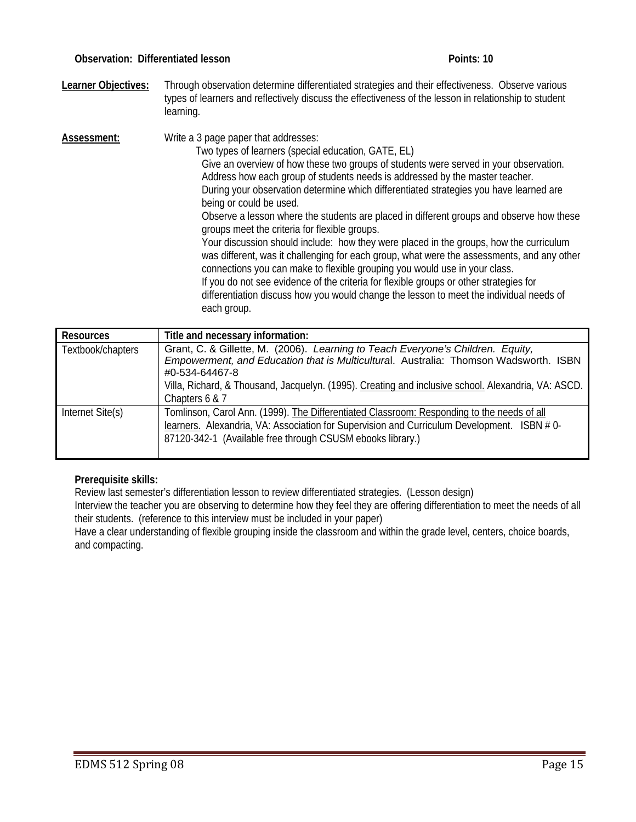**Learner Objectives:** Through observation determine differentiated strategies and their effectiveness. Observe various types of learners and reflectively discuss the effectiveness of the lesson in relationship to student learning.

**Assessment:** Write a 3 page paper that addresses: Two types of learners (special education, GATE, EL) Give an overview of how these two groups of students were served in your observation. Address how each group of students needs is addressed by the master teacher. During your observation determine which differentiated strategies you have learned are being or could be used. Observe a lesson where the students are placed in different groups and observe how these groups meet the criteria for flexible groups. Your discussion should include: how they were placed in the groups, how the curriculum was different, was it challenging for each group, what were the assessments, and any other connections you can make to flexible grouping you would use in your class. If you do not see evidence of the criteria for flexible groups or other strategies for differentiation discuss how you would change the lesson to meet the individual needs of each group.

| <b>Resources</b>  | Title and necessary information:                                                                                                                                                                                                                                                                                   |
|-------------------|--------------------------------------------------------------------------------------------------------------------------------------------------------------------------------------------------------------------------------------------------------------------------------------------------------------------|
| Textbook/chapters | Grant, C. & Gillette, M. (2006). Learning to Teach Everyone's Children. Equity,<br>Empowerment, and Education that is Multicultural. Australia: Thomson Wadsworth. ISBN<br>#0-534-64467-8<br>Villa, Richard, & Thousand, Jacquelyn. (1995). Creating and inclusive school. Alexandria, VA: ASCD.<br>Chapters 6 & 7 |
| Internet Site(s)  | Tomlinson, Carol Ann. (1999). The Differentiated Classroom: Responding to the needs of all<br>learners. Alexandria, VA: Association for Supervision and Curriculum Development. ISBN #0-<br>87120-342-1 (Available free through CSUSM ebooks library.)                                                             |

# **Prerequisite skills:**

Review last semester's differentiation lesson to review differentiated strategies. (Lesson design)

Interview the teacher you are observing to determine how they feel they are offering differentiation to meet the needs of all their students. (reference to this interview must be included in your paper)

Have a clear understanding of flexible grouping inside the classroom and within the grade level, centers, choice boards, and compacting.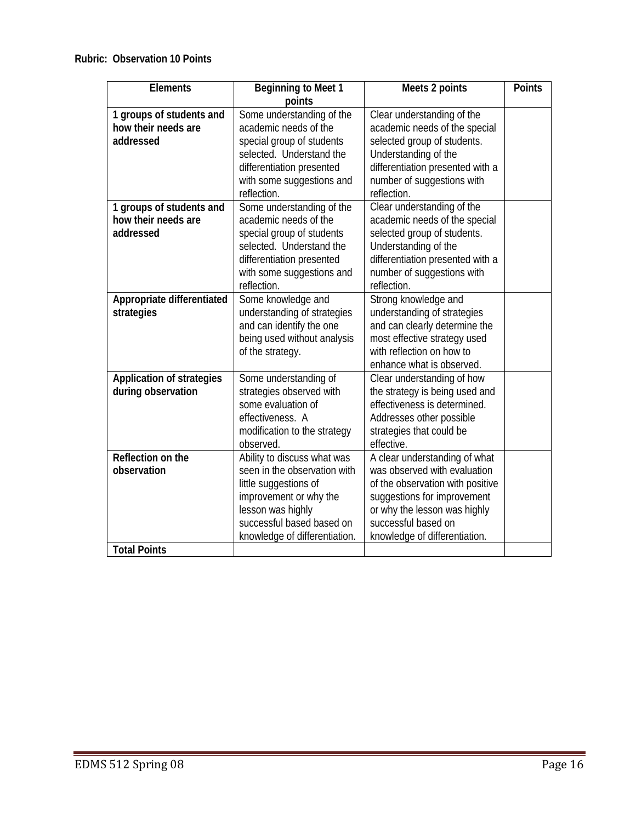| <b>Elements</b>                  | <b>Beginning to Meet 1</b>    | Meets 2 points                   | <b>Points</b> |
|----------------------------------|-------------------------------|----------------------------------|---------------|
|                                  | points                        |                                  |               |
| 1 groups of students and         | Some understanding of the     | Clear understanding of the       |               |
| how their needs are              | academic needs of the         | academic needs of the special    |               |
| addressed                        | special group of students     | selected group of students.      |               |
|                                  | selected. Understand the      | Understanding of the             |               |
|                                  | differentiation presented     | differentiation presented with a |               |
|                                  | with some suggestions and     | number of suggestions with       |               |
|                                  | reflection.                   | reflection.                      |               |
| 1 groups of students and         | Some understanding of the     | Clear understanding of the       |               |
| how their needs are              | academic needs of the         | academic needs of the special    |               |
| addressed                        | special group of students     | selected group of students.      |               |
|                                  | selected. Understand the      | Understanding of the             |               |
|                                  | differentiation presented     | differentiation presented with a |               |
|                                  | with some suggestions and     | number of suggestions with       |               |
|                                  | reflection.                   | reflection.                      |               |
| Appropriate differentiated       | Some knowledge and            | Strong knowledge and             |               |
| strategies                       | understanding of strategies   | understanding of strategies      |               |
|                                  | and can identify the one      | and can clearly determine the    |               |
|                                  | being used without analysis   | most effective strategy used     |               |
|                                  | of the strategy.              | with reflection on how to        |               |
|                                  |                               | enhance what is observed.        |               |
| <b>Application of strategies</b> | Some understanding of         | Clear understanding of how       |               |
| during observation               | strategies observed with      | the strategy is being used and   |               |
|                                  | some evaluation of            | effectiveness is determined.     |               |
|                                  | effectiveness. A              | Addresses other possible         |               |
|                                  | modification to the strategy  | strategies that could be         |               |
|                                  | observed.                     | effective.                       |               |
| Reflection on the                | Ability to discuss what was   | A clear understanding of what    |               |
| observation                      | seen in the observation with  | was observed with evaluation     |               |
|                                  | little suggestions of         | of the observation with positive |               |
|                                  | improvement or why the        | suggestions for improvement      |               |
|                                  | lesson was highly             | or why the lesson was highly     |               |
|                                  | successful based based on     | successful based on              |               |
|                                  | knowledge of differentiation. | knowledge of differentiation.    |               |
| <b>Total Points</b>              |                               |                                  |               |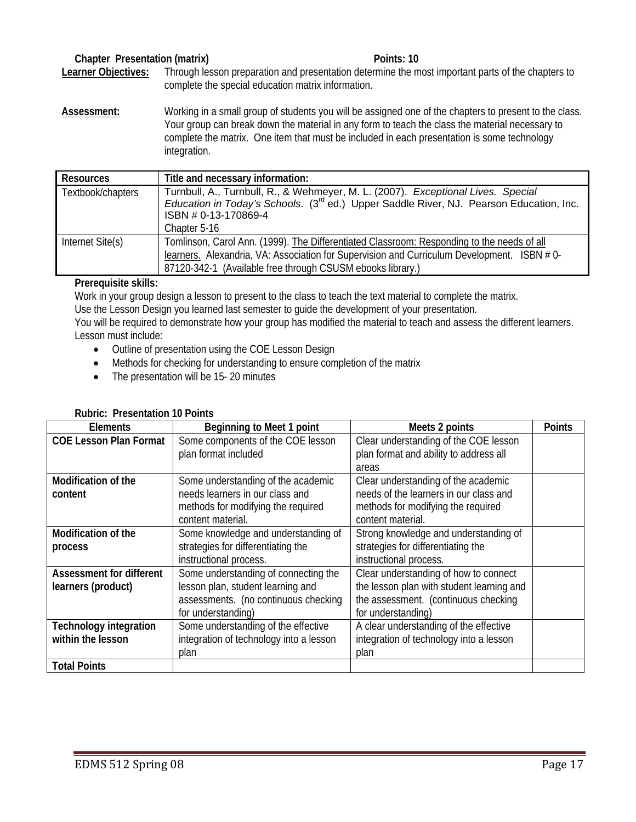# **Chapter Presentation (matrix)** Points: 10

**Learner Objectives:** Through lesson preparation and presentation determine the most important parts of the chapters to complete the special education matrix information.

**Assessment:** Working in a small group of students you will be assigned one of the chapters to present to the class. Your group can break down the material in any form to teach the class the material necessary to complete the matrix. One item that must be included in each presentation is some technology integration.

| <b>Resources</b>  | Title and necessary information:                                                                                                                                                                                                                       |
|-------------------|--------------------------------------------------------------------------------------------------------------------------------------------------------------------------------------------------------------------------------------------------------|
| Textbook/chapters | Turnbull, A., Turnbull, R., & Wehmeyer, M. L. (2007). Exceptional Lives. Special<br>Education in Today's Schools. (3 <sup>rd</sup> ed.) Upper Saddle River, NJ. Pearson Education, Inc.<br>ISBN # 0-13-170869-4<br>Chapter 5-16                        |
| Internet Site(s)  | Tomlinson, Carol Ann. (1999). The Differentiated Classroom: Responding to the needs of all<br>learners. Alexandria, VA: Association for Supervision and Curriculum Development. ISBN #0-<br>87120-342-1 (Available free through CSUSM ebooks library.) |

# **Prerequisite skills:**

Work in your group design a lesson to present to the class to teach the text material to complete the matrix. Use the Lesson Design you learned last semester to guide the development of your presentation.

You will be required to demonstrate how your group has modified the material to teach and assess the different learners. Lesson must include:

- Outline of presentation using the COE Lesson Design
- Methods for checking for understanding to ensure completion of the matrix
- The presentation will be 15-20 minutes

#### **Rubric: Presentation 10 Points**

| <b>Elements</b>               | Beginning to Meet 1 point               | Meets 2 points                            | <b>Points</b> |
|-------------------------------|-----------------------------------------|-------------------------------------------|---------------|
| <b>COE Lesson Plan Format</b> | Some components of the COE lesson       | Clear understanding of the COE lesson     |               |
|                               | plan format included                    | plan format and ability to address all    |               |
|                               |                                         | areas                                     |               |
| Modification of the           | Some understanding of the academic      | Clear understanding of the academic       |               |
| content                       | needs learners in our class and         | needs of the learners in our class and    |               |
|                               | methods for modifying the required      | methods for modifying the required        |               |
|                               | content material.                       | content material.                         |               |
| <b>Modification of the</b>    | Some knowledge and understanding of     | Strong knowledge and understanding of     |               |
| process                       | strategies for differentiating the      | strategies for differentiating the        |               |
|                               | instructional process.                  | instructional process.                    |               |
| Assessment for different      | Some understanding of connecting the    | Clear understanding of how to connect     |               |
| learners (product)            | lesson plan, student learning and       | the lesson plan with student learning and |               |
|                               | assessments. (no continuous checking    | the assessment. (continuous checking      |               |
|                               | for understanding)                      | for understanding)                        |               |
| <b>Technology integration</b> | Some understanding of the effective     | A clear understanding of the effective    |               |
| within the lesson             | integration of technology into a lesson | integration of technology into a lesson   |               |
|                               | plan                                    | plan                                      |               |
| <b>Total Points</b>           |                                         |                                           |               |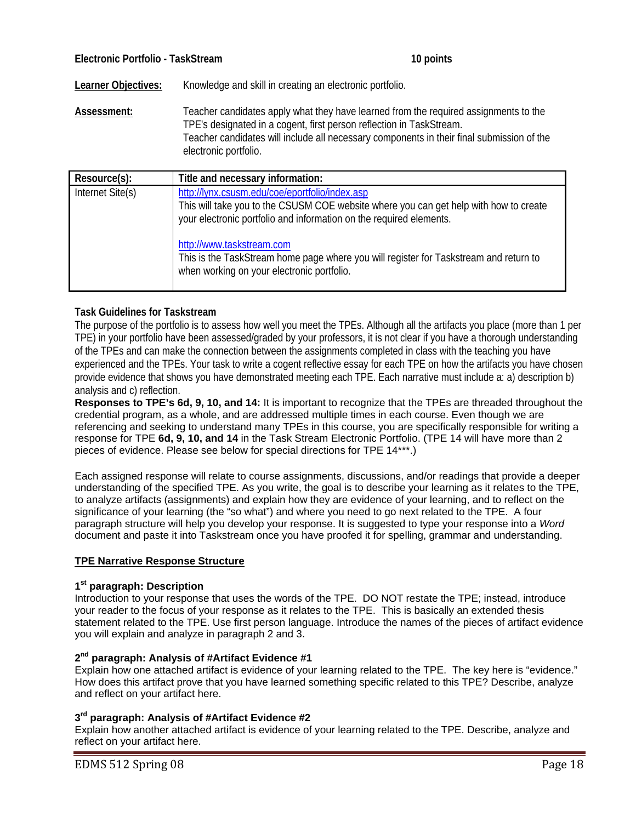**Learner Objectives:** Knowledge and skill in creating an electronic portfolio.

**Assessment:** Teacher candidates apply what they have learned from the required assignments to the TPE's designated in a cogent, first person reflection in TaskStream. Teacher candidates will include all necessary components in their final submission of the electronic portfolio.

| Resource(s):     | Title and necessary information:                                                                                                                                                                               |
|------------------|----------------------------------------------------------------------------------------------------------------------------------------------------------------------------------------------------------------|
| Internet Site(s) | http://lynx.csusm.edu/coe/eportfolio/index.asp<br>This will take you to the CSUSM COE website where you can get help with how to create<br>your electronic portfolio and information on the required elements. |
|                  | http://www.taskstream.com<br>This is the TaskStream home page where you will register for Taskstream and return to<br>when working on your electronic portfolio.                                               |

# **Task Guidelines for Taskstream**

The purpose of the portfolio is to assess how well you meet the TPEs. Although all the artifacts you place (more than 1 per TPE) in your portfolio have been assessed/graded by your professors, it is not clear if you have a thorough understanding of the TPEs and can make the connection between the assignments completed in class with the teaching you have experienced and the TPEs. Your task to write a cogent reflective essay for each TPE on how the artifacts you have chosen provide evidence that shows you have demonstrated meeting each TPE. Each narrative must include a: a) description b) analysis and c) reflection.

**Responses to TPE's 6d, 9, 10, and 14:** It is important to recognize that the TPEs are threaded throughout the credential program, as a whole, and are addressed multiple times in each course. Even though we are referencing and seeking to understand many TPEs in this course, you are specifically responsible for writing a response for TPE **6d, 9, 10, and 14** in the Task Stream Electronic Portfolio. (TPE 14 will have more than 2 pieces of evidence. Please see below for special directions for TPE 14\*\*\*.)

Each assigned response will relate to course assignments, discussions, and/or readings that provide a deeper understanding of the specified TPE. As you write, the goal is to describe your learning as it relates to the TPE, to analyze artifacts (assignments) and explain how they are evidence of your learning, and to reflect on the significance of your learning (the "so what") and where you need to go next related to the TPE. A four paragraph structure will help you develop your response. It is suggested to type your response into a *Word*  document and paste it into Taskstream once you have proofed it for spelling, grammar and understanding.

#### **TPE Narrative Response Structure**

#### **1st paragraph: Description**

Introduction to your response that uses the words of the TPE. DO NOT restate the TPE; instead, introduce your reader to the focus of your response as it relates to the TPE. This is basically an extended thesis statement related to the TPE. Use first person language. Introduce the names of the pieces of artifact evidence you will explain and analyze in paragraph 2 and 3.

#### **2nd paragraph: Analysis of #Artifact Evidence #1**

Explain how one attached artifact is evidence of your learning related to the TPE. The key here is "evidence." How does this artifact prove that you have learned something specific related to this TPE? Describe, analyze and reflect on your artifact here.

#### **3rd paragraph: Analysis of #Artifact Evidence #2**

Explain how another attached artifact is evidence of your learning related to the TPE. Describe, analyze and reflect on your artifact here.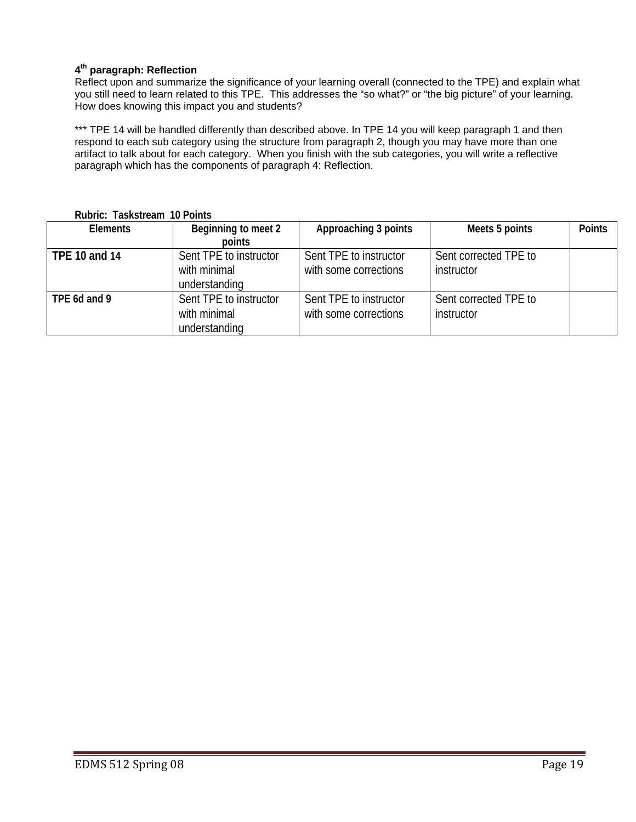# **4th paragraph: Reflection**

Reflect upon and summarize the significance of your learning overall (connected to the TPE) and explain what you still need to learn related to this TPE. This addresses the "so what?" or "the big picture" of your learning. How does knowing this impact you and students?

\*\*\* TPE 14 will be handled differently than described above. In TPE 14 you will keep paragraph 1 and then respond to each sub category using the structure from paragraph 2, though you may have more than one artifact to talk about for each category. When you finish with the sub categories, you will write a reflective paragraph which has the components of paragraph 4: Reflection.

| <b>Elements</b> | Beginning to meet 2    | Approaching 3 points   | Meets 5 points        | <b>Points</b> |
|-----------------|------------------------|------------------------|-----------------------|---------------|
|                 | points                 |                        |                       |               |
| TPE 10 and 14   | Sent TPE to instructor | Sent TPE to instructor | Sent corrected TPE to |               |
|                 | with minimal           | with some corrections  | instructor            |               |
|                 | understanding          |                        |                       |               |
| TPE 6d and 9    | Sent TPE to instructor | Sent TPE to instructor | Sent corrected TPE to |               |
|                 | with minimal           | with some corrections  | instructor            |               |
|                 | understanding          |                        |                       |               |

**Rubric: Taskstream 10 Points**